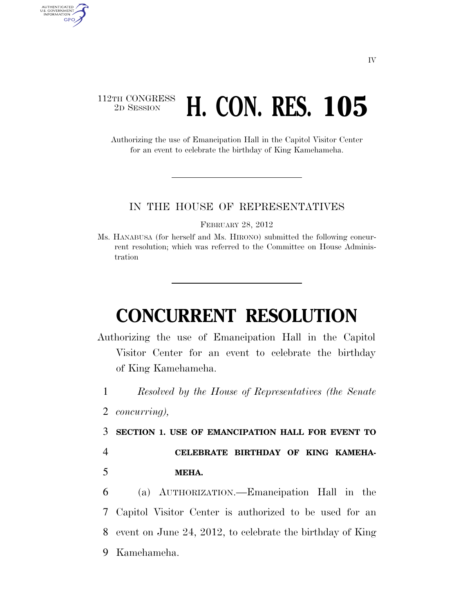## 112TH CONGRESS <sup>TH CONGRESS</sup> H. CON. RES. 105

Authorizing the use of Emancipation Hall in the Capitol Visitor Center for an event to celebrate the birthday of King Kamehameha.

## IN THE HOUSE OF REPRESENTATIVES

FEBRUARY 28, 2012

Ms. HANABUSA (for herself and Ms. HIRONO) submitted the following concurrent resolution; which was referred to the Committee on House Administration

## **CONCURRENT RESOLUTION**

- Authorizing the use of Emancipation Hall in the Capitol Visitor Center for an event to celebrate the birthday of King Kamehameha.
	- 1 *Resolved by the House of Representatives (the Senate*
	- 2 *concurring),*

AUTHENTICATED<br>U.S. GOVERNMENT<br>INFORMATION GPO

3 **SECTION 1. USE OF EMANCIPATION HALL FOR EVENT TO** 

4 **CELEBRATE BIRTHDAY OF KING KAMEHA-**5 **MEHA.** 

 (a) AUTHORIZATION.—Emancipation Hall in the Capitol Visitor Center is authorized to be used for an event on June 24, 2012, to celebrate the birthday of King Kamehameha.